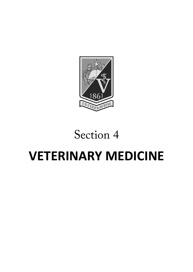

## Section 4

# **VETERINARY MEDICINE**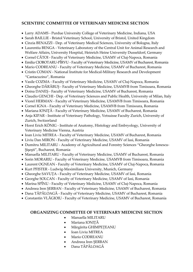#### **SCIENTIFIC COMMITTEE OF VETERINARY MEDICINE SECTION**

- Larry ADAMS Purdue University College of Veterinary Medicine, Indiana, USA
- Sarah BAILLIE Bristol Veterinary School, University of Bristol, United Kingdom
- Cinzia BENAZZI Dep. of Veterinary Medical Sciences, University of Bologna, Italy
- Laurentiu BENGA Veterinary Laboratory of the Central Unit for Animal Research and Welfare Affairs, University Hospital, Heinrich Heine University Dusseldorf, Germany
- Cornel CĂTOI Faculty of Veterinary Medicine, USAMV of Cluj-Napoca, Romania
- Emilia CIOBOTARU-PÎRVU Faculty of Veterinary Medicine, USAMV of Bucharest, Romania
- Mario CODREANU Faculty of Veterinary Medicine, USAMV of Bucharest, Romania
- Cristin COMAN National Institute for Medical-Military Research and Development "Cantacuzino", Romania
- Vasile COZMA Faculty of Veterinary Medicine, USAMV of Cluj-Napoca, Romania
- Gheorghe DĂRĂBUȘ Faculty of Veterinary Medicine, USAMVB from Timisoara, Romania
- Doina DANEȘ Faculty of Veterinary Medicine, USAMV of Bucharest, Romania
- Claudio GENCHI Dep. of Veterinary Sciences and Public Health, University of Milan, Italy
- Viorel HERMAN Faculty of Veterinary Medicine, USAMVB from Timisoara, Romania
- Cornel IGNA Faculty of Veterinary Medicine, USAMVB from Timisoara, Romania
- Mariana IONIȚĂ Faculty of Veterinary Medicine, USAMV of Bucharest, Romania
- Anja KIPAR Institute of Veterinary Pathology, Vetsuisse Faculty Zurich, University of Zurich, Switzerland
- Horst Erich KÖNIG Institute of Anatomy, Histology and Embryology, University of Veterinary Medicine Vienna, Austria
- Ioan Liviu MITREA Faculty of Veterinary Medicine, USAMV of Bucharest, Romania
- Liviu Dan MIRON Faculty of Veterinary Medicine, USAMV of Iasi, Romania
- Dumitru MILITARU Academy of Agricultural and Forestry Sciences "Gheorghe Ionescu-Şişeşti", Bucharest, Romania
- Manuella MILITARU Faculty of Veterinary Medicine, USAMV of Bucharest, Romania
- Sorin MORARIU Faculty of Veterinary Medicine, USAMVB from Timisoara, Romania
- Laurent OGNEAN Faculty of Veterinary Medicine, USAMV of Cluj-Napoca, Romania
- Kurt PFISTER Ludwig-Maximilians University, Munich, Germany
- Gheorghe SAVUȚA Faculty of Veterinary Medicine, USAMV of Iasi, Romania
- Georghe SOLCAN Faculty of Veterinary Medicine, USAMV of Iasi, Romania
- Marina SPÎNU Faculty of Veterinary Medicine, USAMV of Cluj-Napoca, Romania
- Andreea Iren ȘERBAN Faculty of Veterinary Medicine, USAMV of Bucharest, Romania
- Dana TĂPĂLOAGĂ Faculty of Veterinary Medicine, USAMV of Bucharest, Romania
- Constantin VLĂGIOIU Faculty of Veterinary Medicine, USAMV of Bucharest, Romania

#### **ORGANIZING COMMITTEE OF VETERINARY MEDICINE SECTION**

- Manuella MILITARU
- Mariana IONIȚĂ
- Mărgărita GHIMPEȚEANU
- Ioan Liviu MITREA
- Mario CODREANU
- Andreea Iren ȘERBAN
- Dana TĂPĂLOAGĂ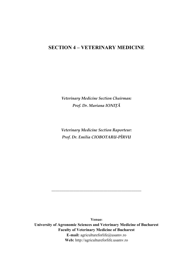#### **SECTION 4 – VETERINARY MEDICINE**

*Veterinary Medicine Section Chairman: Prof. Dr. Mariana IONIȚĂ*

*Veterinary Medicine Section Raporteur: Prof. Dr. Emilia CIOBOTARU-PÎRVU*

**Venue: University of Agronomic Sciences and Veterinary Medicine of Bucharest Faculty of Veterinary Medicine of Bucharest E-mail:** agricultureforlife@usamv.ro **Web:** http://agricultureforlife.usamv.ro

*\_\_\_\_\_\_\_\_\_\_\_\_\_\_\_\_\_\_\_\_\_\_\_\_\_\_\_\_\_\_\_\_\_\_\_\_\_\_\_\_\_\_\_\_\_*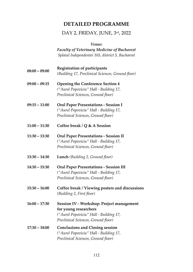## **DETAILED PROGRAMME**

### DAY 2, FRIDAY, JUNE, 3rd, 2022

*Venue:*

*Faculty of Veterinary Medicine of Bucharest Splaiul Independentei 105, district 5, Bucharest*

| $08:00 - 09:00$ | <b>Registration of participants</b><br>(Building 17, Preclinical Sciences, Ground floor)                                                            |
|-----------------|-----------------------------------------------------------------------------------------------------------------------------------------------------|
| $09:00 - 09:15$ | <b>Opening the Conference Section 4</b><br>("Aurel Popoviciu" Hall - Building 17,<br>Preclinical Sciences, Ground floor)                            |
| $09:15 - 11:00$ | <b>Oral Paper Presentations - Session I</b><br>("Aurel Popoviciu" Hall - Building 17,<br>Preclinical Sciences, Ground floor)                        |
| $11:00 - 11:30$ | Coffee break / $Q$ & A Session                                                                                                                      |
| $11:30 - 13:30$ | <b>Oral Paper Presentations - Session II</b><br>("Aurel Popoviciu" Hall - Building 17,<br>Preclinical Sciences, Ground floor)                       |
| $13:30 - 14:30$ | Lunch (Building 2, Ground floor)                                                                                                                    |
| $14:30 - 15:30$ | <b>Oral Paper Presentations - Session III</b><br>("Aurel Popoviciu" Hall - Building 17,<br>Preclinical Sciences, Ground floor)                      |
| $15:30 - 16:00$ | Coffee break / Viewing posters and discussions<br>(Building 2, First floor)                                                                         |
| $16:00 - 17:30$ | Session IV - Workshop: Project management<br>for young researchers<br>("Aurel Popoviciu" Hall - Building 17,<br>Preclinical Sciences, Ground floor) |
| $17:30 - 18:00$ | <b>Conclusions and Closing session</b><br>("Aurel Popoviciu" Hall - Building 17,<br>Preclinical Sciences, Ground floor)                             |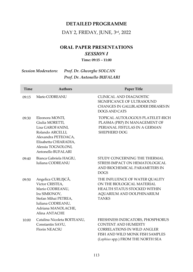#### **DETAILED PROGRAMME**

#### DAY 2, FRIDAY, JUNE, 3rd, 2022

### **ORAL PAPER PRESENTATIONS** *SESSION I*

#### **Time: 09:15 – 11:00**

#### *Session Moderators: Prof. Dr. Gheorghe SOLCAN Prof. Dr. Antonello BUFALARI*

| Time  | <b>Authors</b>                                                                                                                                                         | Paper Title                                                                                                                                                                   |
|-------|------------------------------------------------------------------------------------------------------------------------------------------------------------------------|-------------------------------------------------------------------------------------------------------------------------------------------------------------------------------|
| 09:15 | Mario CODREANU                                                                                                                                                         | CLINICAL AND DIAGNOSTIC<br>SIGNIFICANCE OF ULTRASOUND<br>CHANGES IN GALLBLADDER DISEASES IN<br>DOGS AND CATS                                                                  |
| 09:30 | Eleonora MONTI,<br>Giulia MORETTI,<br>Lisa GAROFANINI,<br>Rolando ARCELLI,<br>Alexandra PETEOACA,<br>Elisabetta CHIARADIA,<br>Alessia TOGNOLONI,<br>Antonello BUFALARI | TOPICAL AUTOLOGOUS PLATELET-RICH<br>PLASMA (PRP) IN MANAGEMENT OF<br>PERIANAL FISTULAS IN A GERMAN<br>SHEPHERD DOG                                                            |
| 09:40 | Bianca Gabriela HAGIU,<br>Iuliana CODREANU                                                                                                                             | STUDY CONCERNING THE THERMAL<br>STRESS IMPACT ON HEMATOLOGICAL<br>AND BIOCHEMICAL PARAMETERS IN<br><b>DOGS</b>                                                                |
| 09:50 | Angelica CURLIȘCĂ,<br>Victor CRISTEA,<br>Mario CODREANU,<br>Ira SIMIONOV,<br>Stefan Mihai PETREA,<br>Iuliana CODREANU,<br>Adriana MANOLACHE,<br>Alina ANTACHE          | THE INFLUENCE OF WATER QUALITY<br>ON THE BIOLOGICAL MATERIAL<br>HEALTH STATUS STOCKED WITHIN<br>AQUARIUM AND DOLPHINARIUM<br><b>TANKS</b>                                     |
| 10:00 | Catalina Nicoleta BOITEANU,<br>Constantin SAVU,<br>Florin NEACSU                                                                                                       | FRESHNESS INDICATORS, PHOSPHORUS<br><b>CONTENT AND HUMIDITY</b><br><b>CORRELATIONS IN WILD ANGLER</b><br>FISH AND WILD MONK FISH SAMPLES<br>(Lophius spp.) FROM THE NORTH SEA |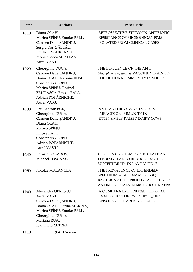| Time  | <b>Authors</b>                                                                                                                                                                           | Paper Title                                                                                                                            |
|-------|------------------------------------------------------------------------------------------------------------------------------------------------------------------------------------------|----------------------------------------------------------------------------------------------------------------------------------------|
| 10:10 | Diana OLAH,<br>Marina SPÎNU, Emoke PALL,<br>Carmen Dana ŞANDRU,<br>Sergiu Dan ZĂBLĂU,<br>Emilia UNGUREANU,<br>Monica Ioana SUĂTEAN,<br>Aurel VASIU                                       | RETROSPECTIVE STUDY ON ANTIBIOTIC<br>RESISTANCE OF MICROORGANISMS<br>ISOLATED FROM CLINICAL CASES                                      |
| 10:20 | Gheorghița DUCA,<br>Carmen Dana ŞANDRU,<br>Diana OLAH, Mariana RUSU,<br>Constantin CERBU,<br>Marina SPÎNU, Florinel<br>BRUDAȘCĂ, Emoke PALL,<br>Adrian POTÂRNICHE,<br><b>Aurel VASIU</b> | THE INFLUENCE OF THE ANTI-<br>Mycoplasma agalactiae VACCINE STRAIN ON<br>THE HUMORAL IMMUNITY IN SHEEP                                 |
| 10:30 | Paul-Adrian BOR,<br>Gheorghița DUCA,<br>Carmen Dana SANDRU,<br>Diana OLAH,<br>Marina SPÎNU,<br>Emoke PALL,<br>Constantin CERBU,<br>Adrian POTÂRNICHE,<br><b>Aurel VASIU</b>              | ANTI-ANTHRAX VACCINATION<br><b>IMPACTS ON IMMUNITY IN</b><br><b>EXTENSIVELY RAISED DAIRY COWS</b>                                      |
| 10:40 | Lazarin LAZAROV,<br>Michael TOSCANO                                                                                                                                                      | USE OF A CALCIUM PARTICULATE AND<br>FEEDING TIME TO REDUCE FRACTURE<br>SUSCEPTIBILITY IN LAYING HENS                                   |
| 10:50 | Nicolae MALANCEA                                                                                                                                                                         | THE PREVALENCE OF EXTENDED-<br>SPECTRUM ß-LACTAMASE (ESBL)<br>BACTERIA AFTER PROPHYLACTIC USE OF<br>ANTIMICROBIALS IN BROILER CHICKENS |
| 11:00 | Alexandra OPRESCU,<br>Aurel VASIU,<br>Carmen Dana ŞANDRU,<br>Diana OLAH, Florina MARIAN,<br>Marina SPÎNU, Emoke PALL,<br>Gheorghiță DUCA,<br>Mariana RUSU,<br>Ioan Liviu MITREA          | A COMPARATIVE EPIDEMIOLOGICAL<br>EVALUATION OF TWO SUBSEQUENT<br>EPISODES OF MAREK'S DISEASE                                           |
| 11:10 | Q & A Session                                                                                                                                                                            |                                                                                                                                        |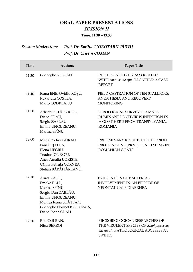### **ORAL PAPER PRESENTATIONS** *SESSION II*

**Time: 11:30 – 13:30**

## *Session Moderators: Prof. Dr. Emilia CIOBOTARU-PÎRVU Prof. Dr. Cristin COMAN*

| Time  | <b>Authors</b>                                                                                                                                                      | Paper Title                                                                                                                    |
|-------|---------------------------------------------------------------------------------------------------------------------------------------------------------------------|--------------------------------------------------------------------------------------------------------------------------------|
| 11:30 | Gheorghe SOLCAN                                                                                                                                                     | PHOTOSENSITIVITY ASSOCIATED<br>WITH Anaplasma spp. IN CATTLE: A CASE<br><b>REPORT</b>                                          |
| 11:40 | Ioana ENE, Ovidiu ROȘU,<br>Ruxandra COSTEA,<br>Mario CODREANU                                                                                                       | FIELD CASTRATION OF TEN STALLIONS:<br>ANESTHESIA AND RECOVERY<br><b>MONITORING</b>                                             |
| 11:50 | Adrian POTÂRNICHE,<br>Diana OLAH,<br>Sergiu ZABLAU,<br>Emilia UNGUREANU,<br>Marina SPÎNU                                                                            | SEROLOGICAL SURVEY OF SMALL<br>RUMINANT LENTIVIRUS INFECTION IN<br>A GOAT HERD FROM TRANSYLVANIA,<br><b>ROMANIA</b>            |
| 12:00 | Maria Rodica GURAU,<br>Fănel OȚELEA,<br>Elena NEGRU,<br>Teodor IONESCU,<br>Anca Amalia UDRIȘTE,<br>Călina Petruța CORNEA,<br>Stelian BĂRĂITĂREANU.                  | PRELIMINARY RESULTS OF THE PRION<br>PROTEIN GENE (PRNP) GENOTYPING IN<br><b>ROMANIAN GOATS</b>                                 |
| 12:10 | Aurel VASIU,<br>Emöke PÁLL,<br>Marina SPÎNU,<br>Sergiu Dan ZĂBLĂU,<br>Emilia UNGUREANU,<br>Monica Ioana SUĂTEAN,<br>Gheorghe Florinel BRUDAȘCĂ,<br>Diana Ioana OLAH | EVALUATION OF BACTERIAL<br>INVOLVEMENT IN AN EPISODE OF<br>NEONTAL CALF DIARRHEA                                               |
| 12:20 | Rita GOLBAN,<br>Nicu BERZOI                                                                                                                                         | MICROBIOLOGICAL RESEARCHES OF<br>THE VIRULENT SPECIES OF Staphylococcus<br>aureus IN PATHOLOGICAL ABCESSES AT<br><b>SWINES</b> |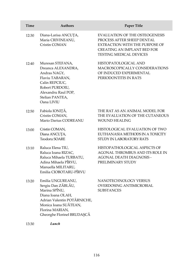| Time  | <b>Authors</b>                                                                                                                                                                         | Paper Title                                                                                                                                                                   |
|-------|----------------------------------------------------------------------------------------------------------------------------------------------------------------------------------------|-------------------------------------------------------------------------------------------------------------------------------------------------------------------------------|
| 12:30 | Diana-Larisa ANCUȚA,<br>Maria CRIVINEANU,<br>Cristin COMAN                                                                                                                             | <b>EVALUATION OF THE OSTEOGENESIS</b><br>PROCESS AFTER SHEEP DENTAL<br>EXTRACTION WITH THE PURPOSE OF<br><b>CREATING AN IMPLANT BED FOR</b><br><b>TESTING MEDICAL DEVICES</b> |
| 12:40 | Muresan STEFANA,<br>Dreanca ALEXANDRA,<br>Andras NAGY,<br>Flaviu TABARAN,<br>Calin REPCIUC,<br>Robert PURDOIU,<br>Alexandru Raul POP,<br>Stelian PANTEA,<br>Oana LIVIU                 | HISTOPATOLOGICAL AND<br>MACROSCOPICALLY CONSIDERATIONS<br>OF INDUCED EXPERIMENTAL<br>PERIODONTITIS IN RATS                                                                    |
| 12:50 | Fabiola IONIȚĂ,<br>Cristin COMAN.<br>Mario Darius CODREANU                                                                                                                             | THE RAT AS AN ANIMAL MODEL FOR<br>THE EVALUATION OF THE CUTANEOUS<br><b>WOUND HEALING</b>                                                                                     |
| 13:00 | Cristin COMAN,<br>Diana ANCUȚA,<br><b>Teodoru SOARE</b>                                                                                                                                | HISTOLOGICAL EVALUATION OF TWO<br>EUTHANASIA METHODS IN A TOXICITY<br>STUDY IN LABORATORY RATS                                                                                |
| 13:10 | Raluca Elena TIU,<br>Raluca Ioana RIZAC,<br>Raluca Mihaela TURBATU,<br>Adina Mihaela PÎRVU,<br>Manuella MILITARU,<br>Emilia CIOBOTARU-PÎRVU                                            | HISTOPATHOLOGICAL ASPECTS OF<br>AGONAL THROMBUS AND ITS ROLE IN<br><b>AGONAL DEATH DIAGNOSIS -</b><br>PRELIMINARY STUDY                                                       |
| 13:20 | Emilia UNGUREANU,<br>Sergiu Dan ZĂBLĂU,<br>Marina SPÎNU,<br>Diana Ioana OLAH,<br>Adrian Valentin POTÂRNICHE,<br>Monica Ioana SUĂTEAN,<br>Florina MARIAN,<br>Gheorghe Florinel BRUDAŞCĂ | NANOTECHNOLOGY VERSUS<br>OVERDOSING ANTIMICROBIAL<br><b>SUBSTANCES</b>                                                                                                        |
| 13:30 | Lunch                                                                                                                                                                                  |                                                                                                                                                                               |

116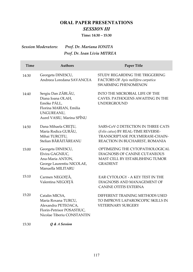### **ORAL PAPER PRESENTATIONS** *SESSION III*

**Time: 14:30 – 15:30**

#### *Session Moderators: Prof. Dr. Mariana IONITA Prof. Dr. Ioan Liviu MITREA*

| Time  | <b>Authors</b>                                                                                                              | <b>Paper Title</b>                                                                                                                                    |
|-------|-----------------------------------------------------------------------------------------------------------------------------|-------------------------------------------------------------------------------------------------------------------------------------------------------|
| 14:30 | Georgeta DINESCU,<br>Andreea Loredana SAVANCEA                                                                              | STUDY REGARDING THE TRIGGERING<br>FACTORS OF Apis mellifera carpatica<br><b>SWARMING PHENOMENON</b>                                                   |
| 14:40 | Sergiu Dan ZĂBLĂU,<br>Diana Ioana OLAH,<br>Emöke PÁLL,<br>Florina MARIAN, Emilia<br>UNGUREANU,<br>Aurel VASIU, Marina SPÎNU | <b>INTO THE MICROBIAL LIFE OF THE</b><br>CAVES, PATHOGENS AWAITING IN THE<br><b>UNDERGROUND</b>                                                       |
| 14:50 | Dana Mihaela CREȚU,<br>Maria Rodica GURĂU,<br>Mihai TURCITU,<br>Stelian BĂRĂITĂREANU                                        | <b>SARS-CoV-2 DETECTION IN THREE CATS</b><br>(Felis catus) BY REAL-TIME REVERSE-<br>TRANSCRIPTASE POLYMERASE-CHAIN-<br>REACTION IN BUCHAREST, ROMANIA |
| 15:00 | Georgeta DINESCU,<br>Elvira GAGNIUC,<br>Ana-Maria ANTON,<br>George Laurentiu NICOLAE,<br>Manuella MILITARU                  | OPTIMIZING THE CYTOPATHOLOGICAL<br>DIAGNOSIS OF CANINE CUTANEOUS<br><b>MAST CELL BY ESTABLISHING TUMOR</b><br><b>GRADIENT</b>                         |
| 15:10 | Carmen NEGOIȚĂ,<br>Valentina NEGOIȚĂ                                                                                        | EAR CYTOLOGY - A KEY TEST IN THE<br>DIAGNOSIS AND MANAGEMENT OF<br><b>CANINE OTITIS EXTERNA</b>                                                       |
| 15:20 | Catalin MICSA,<br>Maria Roxana TURCU,<br>Alexandra PETEOACA,<br>Florin-Petrisor POSASTIUC,<br>Nicolae Tiberiu CONSTANTIN    | DIFFERENT TRAINING METHODS USED<br>TO IMPROVE LAPAROSCOPIC SKILLS IN<br><b>VETERINARY SURGERY</b>                                                     |
| 15:30 | O & A Session                                                                                                               |                                                                                                                                                       |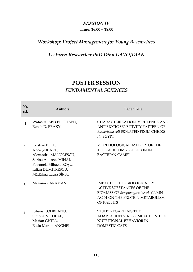#### *SESSION IV*

#### **Time: 16:00 – 18:00**

### *Workshop: Project Management for Young Researchers*

### *Lecturer: Researcher PhD Dinu GAVOJDIAN*

## **POSTER SESSION** *FUNDAMENTAL SCIENCES*

| Nr.<br>crt.    | <b>Authors</b>                                                                                                                                            | <b>Paper Title</b>                                                                                                                                                           |
|----------------|-----------------------------------------------------------------------------------------------------------------------------------------------------------|------------------------------------------------------------------------------------------------------------------------------------------------------------------------------|
| 1 <sub>1</sub> | Wafaa A. ABD EL-GHANY,<br>Rehab D. ERAKY                                                                                                                  | CHARACTERIZATION, VIRULENCE AND<br>ANTIBIOTIC SENSITIVITY PATTERN OF<br>Escherichia coli ISOLATED FROM CHICKS<br><b>IN EGYPT</b>                                             |
| 2.             | Cristian BELU,<br>Anca ŞEICARU,<br>Alexandru MANOLESCU,<br>Sorina Andreea MIHAI,<br>Petronela Mihaela ROȘU,<br>Iulian DUMITRESCU,<br>Mădălina Laura SÎRBU | MORPHOLOGICAL ASPECTS OF THE<br>THORACIC LIMB SKELETON IN<br><b>BACTRIAN CAMEL</b>                                                                                           |
| 3.             | Mariana CARAMAN                                                                                                                                           | <b>IMPACT OF THE BIOLOGICALLY</b><br><b>ACTIVE SUBSTANCES OF THE</b><br><b>BIOMASS OF Streptomyces levoris CNMN-</b><br>AC-01 ON THE PROTEIN METABOLISM<br><b>OF RABBITS</b> |
| $\mathbf{4}$   | Iuliana CODREANU,<br>Simona NICOLAE,<br>Marian GHIȚĂ,<br>Radu Marian ANGHEL                                                                               | STUDY REGARDING THE<br>ADAPTATION STRESS IMPACT ON THE<br>NUTRITIONAL BEHAVIOR IN<br>DOMESTIC CATS                                                                           |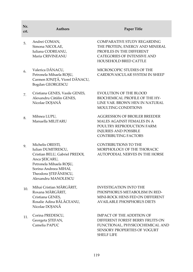| Nr.<br>crt. | <b>Authors</b>                                                                                                                                                                               | <b>Paper Title</b>                                                                                                                                                       |
|-------------|----------------------------------------------------------------------------------------------------------------------------------------------------------------------------------------------|--------------------------------------------------------------------------------------------------------------------------------------------------------------------------|
| 5.          | Andrei COMAN,<br>Simona NICOLAE,<br>Iuliana CODREANU,<br>Maria CRIVINEANU                                                                                                                    | <b>COMPARATIVE STUDY REGARDING</b><br>THE PROTEIN, ENERGY AND MINERAL<br>PROFILES IN THE DIFFERENT<br><b>CATEGORIES OF INTENSIVE AND</b><br><b>HOUSEHOLD BRED CATTLE</b> |
| 6.          | Valerica DĂNACU,<br>Petronela Mihaela ROŞU,<br>Carmen IONIȚĂ, Viorel DĂNACU,<br>Bogdan GEORGESCU                                                                                             | MICROSCOPIC STUDIES OF THE<br>CARDIOVASCULAR SYSTEM IN SHEEP                                                                                                             |
| 7.          | Cristiana GENES, Vasile GENES,<br>Alexandru Cătălin GENES,<br>Nicolae DOJANĂ                                                                                                                 | <b>EVOLUTION OF THE BLOOD</b><br><b>BIOCHEMICAL PROFILE OF THE HY-</b><br>LINE VAR. BROWN HEN IN NATURAL<br>MOULTING CONDITIONS                                          |
| 8.          | Mihnea LUPU,<br>Manuella MILITARU                                                                                                                                                            | <b>AGGRESSION OF BROILER BREEDER</b><br>MALES AGAINST FEMALES IN A<br>POULTRY REPRODUCTION FARM:<br><b>INJURIES AND POSSIBLE</b><br><b>CONTRIBUTING FACTORS</b>          |
| 9.          | Michelis ORESTI,<br>Iulian DUMITRESCU,<br>Cristian BELU, Gabriel PREDOI,<br>Anca ŞEICARU,<br>Petronela Mihaela ROŞU,<br>Sorina-Andreea MIHAI,<br>Theodora ȘTEFĂNESCU,<br>Alexandru MANOLESCU | <b>CONTRIBUTIONS TO THE</b><br>MORPHOLOGY OF THE THORACIC<br>AUTOPODIAL NERVES IN THE HORSE                                                                              |
| 10.         | Mihai Cristian MĂRGĂRIT,<br>Roxana MĂRGĂRIT,<br>Cristiana GENES,<br>Rosalie Adina BĂLĂCEANU,<br>Nicolae DOJANĂ                                                                               | <b>INVESTIGATION INTO THE</b><br>PHOSPHORUS METABOLISM IN RED-<br>MINI-ROCK HENS FED ON DIFFERENT<br><b>AVAILABLE PHOSPHORUS DIETS</b>                                   |
| 11.         | Corina PREDESCU,<br>Georgeta ȘTEFAN,<br>Camelia PAPUC                                                                                                                                        | IMPACT OF THE ADDITION OF<br>DIFFERENT FOREST BERRY FRUITS ON<br>FUNCTIONAL, PHYSICOCHEMICAL AND<br>SENSORY PROPERTIES OF YOGURT<br><b>SHELF LIFE</b>                    |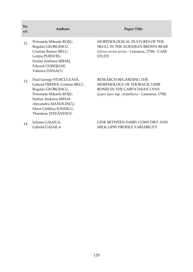| Nr.<br>crt.     | <b>Authors</b>                                                                                                                                                                                                | <b>Paper Title</b>                                                                                                                     |
|-----------------|---------------------------------------------------------------------------------------------------------------------------------------------------------------------------------------------------------------|----------------------------------------------------------------------------------------------------------------------------------------|
| 12 <sub>1</sub> | Petronela Mihaela ROSU,<br>Bogdan GEORGESCU,<br>Cristian Romeo BELU,<br>Letiția PURDOIU,<br>Sorina Andreea MIHAI,<br>Eduard GUREŞOAE,<br>Valerica DĂNACU                                                      | MORPHOLOGICAL FEATURES OF THE<br>SKULL IN THE EURASIAN BROWN BEAR<br>(Ursus arctos arctos - Linnaeus, 1758) - CASE<br><b>STUDY</b>     |
| 13.             | Paul George STOICULEASĂ,<br>Gabriel PREDOI, Cristian BELU,<br>Bogdan GEORGESCU,<br>Petronela Mihaela ROȘU,<br>Sorina-Andreea MIHAI,<br>Alexandru MANOLESCU,<br>Elena Cătălina IONESCU,<br>Theodora ȘTEFĂNESCU | RESEARCH REGARDING THE<br>MORPHOLOGY OF THORACIC LIMB<br>BONES IN THE CARPATHIAN LYNX<br>(Lynx lynx ssp. carpathicus - Linnaeus, 1758) |
| 14              | Iuliana GAJAILA,<br>Gabriel GAJAILA                                                                                                                                                                           | LINK BETWEEN DAIRY COWS DIET AND<br>MILK LIPID PROFILE VARIABILITY                                                                     |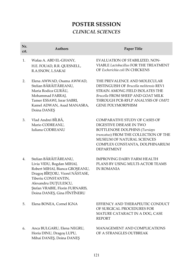## **POSTER SESSION** *CLINICAL SCIENCES*

| Nr.<br>crt. | <b>Authors</b>                                                                                                                                                                                                                           | Paper Title                                                                                                                                                                                                                                    |
|-------------|------------------------------------------------------------------------------------------------------------------------------------------------------------------------------------------------------------------------------------------|------------------------------------------------------------------------------------------------------------------------------------------------------------------------------------------------------------------------------------------------|
| 1.          | Wafaa A. ABD EL-GHANY,<br>H.E. FOUAD, R.R. QUESNELL,<br>R.A.SNOW, L.SAKAI                                                                                                                                                                | EVALUATION OF STABILIZED, NON-<br>VIABLE Lactobacillus FOR THE TREATMENT<br>OF Escherichia coli IN CHICKENS                                                                                                                                    |
| 2.          | Elena AWWAD, Osama AWWAD,<br>Stelian BĂRĂITĂREANU,<br>Maria Rodica GURĂU,<br>Mohammad FARRAJ,<br>Tamer ESSAWI, Israr SABRI,<br>Kamel ADWAN, Asad MANASRA,<br>Doina DANEŞ                                                                 | THE PREVALENCE AND MOLECULAR<br>DISTINGUISH OF Brucella melitensis REV1<br>STRAIN AMONG FIELD ISOLATES THE<br><b>Brucella FROM SHEEP AND GOAT MILK</b><br>THROUGH PCR-RFLP ANALYSIS OF OMP2<br><b>GENE POLYMORPHISM</b>                        |
| 3.          | Vlad Andrei BÎLBĂ,<br>Mario CODREANU,<br>Iuliana CODREANU                                                                                                                                                                                | <b>COMPARATIVE STUDY OF CASES OF</b><br>DIGESTIVE DISEASE IN TWO<br><b>BOTTLENOSE DOLPHINS (Tursiops</b><br>truncatus) FROM THE COLLECTION OF THE<br><b>MUSEUM OF NATURAL SCIENCES</b><br>COMPLEX CONSTANTA, DOLPHINARIUM<br><b>DEPARTMENT</b> |
| 4.          | Stelian BĂRĂITĂREANU,<br>Livia VIDU, Bogdan MIHAI,<br>Robert MIHAI, Bianca GROȘEANU,<br>Dragoș BÎRȚOIU, Viorel NĂSTASE,<br>Tiberiu CONSTANTIN,<br>Alexandru DUȚULESCU,<br>Ștefan VRABIE, Florin FURNARIS,<br>Doina DANES, Gina FÎNTÎNERU | <b>IMPROVING DAIRY FARM HEALTH</b><br>PLANS BY USING MULTI-ACTOR TEAMS<br><b>IN ROMANIA</b>                                                                                                                                                    |
| 5.          | Elena BONEA, Cornel IGNA                                                                                                                                                                                                                 | EFFIENCY AND THERAPEUTIC CONDUCT<br>OF SURGICAL PROCEDURES FOR<br>MATURE CATARACT IN A DOG, CASE<br><b>REPORT</b>                                                                                                                              |
| 6.          | Anca BULGARU, Elena NEGRU,<br>Horia DINU, Dragoș LUPU,<br>Mihai DANEŞ, Doina DANEŞ                                                                                                                                                       | <b>MANAGEMENT AND COMPLICATIONS</b><br>OF A STRANGLES OUTBREAK                                                                                                                                                                                 |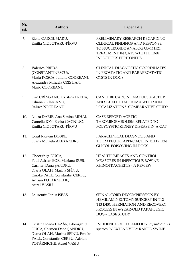| Nr.<br>crt. | <b>Authors</b>                                                                                                                                                                      | <b>Paper Title</b>                                                                                                                                                          |
|-------------|-------------------------------------------------------------------------------------------------------------------------------------------------------------------------------------|-----------------------------------------------------------------------------------------------------------------------------------------------------------------------------|
| 7.          | Elena CARCIUMARU,<br>Emilia CIOBOTARU-PÎRVU                                                                                                                                         | PRELIMINARY RESEARCH REGARDING<br><b>CLINICAL FINDINGS AND RESPONSE</b><br>TO NUCLEOSIDE ANALOG GS-441521<br>TREATMENT IN CATS WITH FELINE<br><b>INFECTIOUS PERITONITIS</b> |
| 8.          | Valerica PREDA<br>(CONSTANTINESCU),<br>Maria ROȘCA, Iuliana CODREANU,<br>Alexandra Mihaela CRISTIAN,<br>Mario CODREANU                                                              | CLINICAL-DIAGNOSTIC COORDINATES<br>IN PROSTATIC AND PARAPROSTATIC<br>CYSTS IN DOGS                                                                                          |
| 9.          | Dan CRÎNGANU, Cristina PREDA,<br>Iuliana CRÎNGANU,<br>Raluca NEGREANU                                                                                                               | CAN IT BE CARCINOMATOUS MASTITIS<br>AND T-CELL LYMPHOMA WITH SKIN<br><b>LOCALIZATION? - COMPARATIVE STUDY</b>                                                               |
| 10.         | Laura DARIE, Ana Simina MIHAI,<br>Camelia ION, Elvira GAGNIUC,<br>Emilia CIOBOTARU-PÎRVU                                                                                            | <b>CASE REPORT: AORTIC</b><br>THROMBOEMBOLISM RELATED TO<br>POLYCYSTIC KIDNEY DISEASE IN A CAT                                                                              |
| 11.         | Ionut Razvan DOBRE,<br>Diana Mihaela ALEXANDRU                                                                                                                                      | PARACLINICAL DIAGNOSIS AND<br>THERAPEUTIC APPROACH IN ETHYLEN<br><b>GLICOL POISONING IN DOGS</b>                                                                            |
| 12.         | Gheorghița DUCA,<br>Paul-Adrian BOR, Mariana RUSU,<br>Carmen Dana ŞANDRU,<br>Diana OLAH, Marina SPÎNU,<br>Emoke PALL, Constantin CERBU,<br>Adrian POTÂRNICHE,<br><b>Aurel VASIU</b> | HEALTH IMPACTS AND CONTROL<br>MEASURES IN INFECTIOUS BOVINE<br>RHINOTRACHEITIS - A REVIEW                                                                                   |
| 13.         | Laurentiu Ionut ISPAS                                                                                                                                                               | SPINAL CORD DECOMPRESSION BY<br><b>HEMILAMINECTOMY SURGERY IN T12-</b><br>T13 DISC HERNIATION AND RECOVERY<br>PROCESS IN 6-YEAR-OLD PARAPLEGIC<br>DOG - CASE STUDY          |
| 14.         | Cristina Ioana LAZĂR, Gheorghița<br>DUCA, Carmen Dana ŞANDRU,<br>Diana OLAH, Marina SPÎNU, Emoke                                                                                    | INCIDENCE OF CUTANEOUS Staphylococcus<br>species IN EXTENSIVELY RAISED SWINE                                                                                                |

PALL, Constantin CERBU, Adrian POTÂRNICHE, Aurel VASIU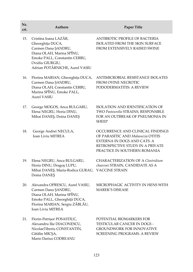| Nr.<br>crt. | <b>Authors</b>                                                                                                                                                                      | Paper Title                                                                                                                                                                      |
|-------------|-------------------------------------------------------------------------------------------------------------------------------------------------------------------------------------|----------------------------------------------------------------------------------------------------------------------------------------------------------------------------------|
| 15.         | Cristina Ioana LAZĂR,<br>Gheorghița DUCA,<br>Carmen Dana ŞANDRU,<br>Diana OLAH, Marina SPÎNU,<br>Emoke PALL, Constantin CERBU,<br>Ovidiu GIURGIU,<br>Adrian POTÂRNICHE, Aurel VASIU | ANTIBIOTIC PROFILE OF BACTERIA<br>ISOLATED FROM THE SKIN SURFACE<br>FROM EXTENSIVELY RAISED SWINE                                                                                |
| 16.         | Florina MARIAN, Gheorghița DUCA,<br>Carmen Dana ŞANDRU,<br>Diana OLAH, Constantin CERBU,<br>Marina SPÎNU, Emoke PALL,<br><b>Aurel VASIU</b>                                         | ANTIMICROBIAL RESISTANCE ISOLATES<br><b>FROM OVINE NECROTIC</b><br>PODODERMATITIS: A REVIEW                                                                                      |
| 17.         | George MOGOS, Anca BULGARU,<br>Elena NEGRU, Horia DINU,<br>Mihai DANEŞ, Doina DANEŞ                                                                                                 | <b>ISOLATION AND IDENTIFICATION OF</b><br>TWO Pasteurella STRAINS, RESPONSIBLE<br>FOR AN OUTBREAK OF PNEUMONIA IN<br><b>SHEEP</b>                                                |
| 18.         | George Andrei NECULA,<br>Ioan Liviu MITREA                                                                                                                                          | OCCURRENCE AND CLINICAL FINDINGS<br>OF PARASITIC AND Malassezia OTITIS<br><b>EXTERNA IN DOGS AND CATS: A</b><br>RETROSPECTIVE STUDY IN A PRIVATE<br>PRACTICE IN SOUTHERN ROMANIA |
| 19.         | Elena NEGRU, Anca BULGARU,<br>Horia DINU, Dragoș LUPU,<br>Mihai DANEȘ, Maria-Rodica GURAU,<br>Doina DANEŞ                                                                           | <b>CHARACTERIZATION OF A Clostridium</b><br>chauvoei STRAIN, CANDIDATE AS A<br><b>VACCINE STRAIN</b>                                                                             |
| 20.         | Alexandra OPRESCU, Aurel VASIU,<br>Carmen Dana ŞANDRU,<br>Diana OLAH, Marina SPÎNU,<br>Emoke PALL, Gheorghiță DUCA,<br>Florina MARIAN, Sergiu ZĂBLĂU,<br>Ioan Liviu MITREA          | MICROPHAGIC ACTIVITY IN HENS WITH<br><b>MAREK'S DISEASE</b>                                                                                                                      |
| 21.         | Florin-Petrișor POSASTIUC,<br>Alexandru Ilie DIACONESCU,<br>NicolaeTiberiu CONSTANTIN,<br>Cătălin MICȘA,<br>Mario Darius CODREANU                                                   | POTENTIAL BIOMARKERS FOR<br><b>TESTICULAR CANCER IN DOGS -</b><br><b>GROUNDWORK FOR INNOVATIVE</b><br>SCREENING PROGRAMS. A REVIEW                                               |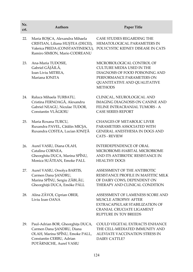| Nr.<br>crt. | <b>Authors</b>                                                                                                                                           | <b>Paper Title</b>                                                                                                                                                               |
|-------------|----------------------------------------------------------------------------------------------------------------------------------------------------------|----------------------------------------------------------------------------------------------------------------------------------------------------------------------------------|
| 22.         | Maria ROȘCA, Alexandra Mihaela<br>CRISTIAN, Liliana HUȘTEA (DECEI),<br>Valerica PREDA (CONSTANTINESCU),<br>Ramiro SIMION, Mario CODREANU                 | CASE STUDIES REGARDING THE<br>HEMATOLOGICAL PARAMETERS IN<br>POLYCYSTIC KIDNEY DISEASE IN CATS                                                                                   |
| 23.         | Ana-Maria TUDOSIE,<br>Gabriel GĂJĂILĂ,<br>Ioan Liviu MITREA,<br>Mariana IONITA                                                                           | MICROBIOLOGICAL CONTROL OF<br><b>CULTURE MEDIA USED IN THE</b><br>DIAGNOSIS OF FOOD POISONING AND<br>PERFORMANCE PARAMETERS ON<br>QUANTITATIVE AND QUALITATIVE<br><b>METHODS</b> |
| 24.         | Raluca Mihaela TURBATU,<br>Cristina FERNOAGĂ, Alexandru<br>Gabriel NEAGU, Niculae TUDOR,<br>Constantin VLĂGIOIU                                          | CLINICAL, NEUROLOGICAL AND<br><b>IMAGING DIAGNOSIS ON CANINE AND</b><br>FELINE INTRACRANIAL TUMORS - A<br><b>CASE SERIES REPORT</b>                                              |
| 25.         | Maria Roxana TURCU,<br>Ruxandra PAVEL, Cătălin MICȘA,<br>Ruxandra COSTEA, Lucian IONIȚĂ                                                                  | <b>CHANGES OF METABOLIC LIVER</b><br>PARAMETERS ASSOCIATED WITH<br>GENERAL ANESTHESIA IN DOGS AND<br><b>CATS - REVIEW</b>                                                        |
| 26.         | Aurel VASIU, Diana OLAH,<br>Catalina CORNEA,<br>Gheorghita DUCA, Marina SPÎNU,<br>Monica SUĂTEAN, Emoke PALL                                             | <b>INTERDEPENDENCE OF ORAL</b><br>MICROBIOME-HABITAL MICROBIOME<br>AND ITS ANTIBIOTIC RESISTANCE IN<br><b>HEALTHY DOGS</b>                                                       |
| 27.         | Aurel VASIU, Orsolya BARTIS,<br>Carmen Dana ŞANDRU,<br>Marina SPÎNU, Sergiu ZĂBLĂU,<br>Gheorghiță DUCA, Emöke PÁLL                                       | ASSESSMENT OF THE ANTIBIOTIC<br>RESISTANCE PROFILE IN MASTITIC MILK<br>OF DAIRY COWS, DEPENDENT ON<br>THERAPY AND CLINICAL CONDITION                                             |
| 28.         | Alina ZĂVOI, Ciprian OBER,<br>Liviu Ioan OANA                                                                                                            | ASSESSMENT OF LAMENESS SCORE AND<br>MUSCLE ATROPHY AFTER<br>EXTRACAPSULAR STABILIZATION OF<br><b>CRANIAL CRUCIATE LIGAMENT</b><br>RUPTURE IN TOY BREEDS                          |
| 29.         | Paul-Adrian BOR, Gheorghița DUCA,<br>Carmen Dana SANDRU, Diana<br>OLAH, Marina SPÎNU, Emoke PALL,<br>Constantin CERBU, Adrian<br>POTÂRNICHE, Aurel VASIU | COULD VEGETAL EXTRACTS ENHANCE<br>THE CELL-MEDIATED IMMUNITY AND<br>ALEVIATE VACCINATION STRESS IN<br>DAIRY CATTLE?                                                              |